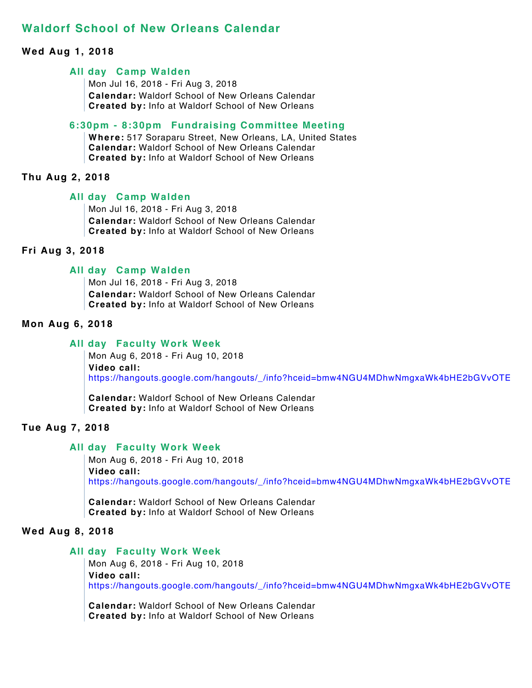## **Wed Aug 1, 2018**

## **All day Camp Walden**

Mon Jul 16, 2018 - Fri Aug 3, 2018 **Calendar:** Waldorf School of New Orleans Calendar **Created by:** Info at Waldorf School of New Orleans

## **6:30pm - 8:30pm Fundraising Committee Meeting**

**Where:** 517 Soraparu Street, New Orleans, LA, United States **Calendar:** Waldorf School of New Orleans Calendar **Created by:** Info at Waldorf School of New Orleans

# **Thu Aug 2, 2018**

## **All day Camp Walden**

Mon Jul 16, 2018 - Fri Aug 3, 2018 **Calendar:** Waldorf School of New Orleans Calendar **Created by:** Info at Waldorf School of New Orleans

# **Fri Aug 3, 2018**

## **All day Camp Walden**

Mon Jul 16, 2018 - Fri Aug 3, 2018 **Calendar:** Waldorf School of New Orleans Calendar **Created by:** Info at Waldorf School of New Orleans

## **Mon Aug 6, 2018**

## **All day Faculty Work Week**

Mon Aug 6, 2018 - Fri Aug 10, 2018 **Video call:** https://hangouts.google.com/hangouts/\_/info?hceid=bmw4NGU4MDhwNmgxaWk4bHE2bGVvOTE

**Calendar:** Waldorf School of New Orleans Calendar **Created by:** Info at Waldorf School of New Orleans

## **Tue Aug 7, 2018**

## **All day Faculty Work Week**

Mon Aug 6, 2018 - Fri Aug 10, 2018 **Video call:** https://hangouts.google.com/hangouts/\_/info?hceid=bmw4NGU4MDhwNmgxaWk4bHE2bGVvOTE

**Calendar:** Waldorf School of New Orleans Calendar **Created by:** Info at Waldorf School of New Orleans

# **Wed Aug 8, 2018**

# **All day Faculty Work Week**

Mon Aug 6, 2018 - Fri Aug 10, 2018 **Video call:** https://hangouts.google.com/hangouts/\_/info?hceid=bmw4NGU4MDhwNmgxaWk4bHE2bGVvOTE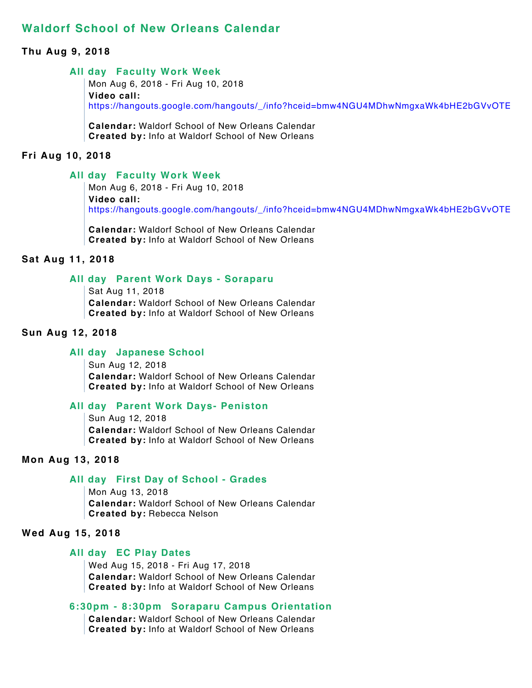## **Thu Aug 9, 2018**

### **All day Faculty Work Week**

Mon Aug 6, 2018 - Fri Aug 10, 2018 **Video call:** https://hangouts.google.com/hangouts/\_/info?hceid=bmw4NGU4MDhwNmgxaWk4bHE2bGVvOTE

**Calendar:** Waldorf School of New Orleans Calendar **Created by:** Info at Waldorf School of New Orleans

## **Fri Aug 10, 2018**

# **All day Faculty Work Week**

Mon Aug 6, 2018 - Fri Aug 10, 2018 **Video call:** https://hangouts.google.com/hangouts/\_/info?hceid=bmw4NGU4MDhwNmgxaWk4bHE2bGVvOTE

**Calendar:** Waldorf School of New Orleans Calendar **Created by:** Info at Waldorf School of New Orleans

# **Sat Aug 11, 2018**

## **All day Parent Work Days - Soraparu**

Sat Aug 11, 2018 **Calendar:** Waldorf School of New Orleans Calendar **Created by:** Info at Waldorf School of New Orleans

# **Sun Aug 12, 2018**

#### **All day Japanese School**

Sun Aug 12, 2018 **Calendar:** Waldorf School of New Orleans Calendar **Created by:** Info at Waldorf School of New Orleans

## **All day Parent Work Days- Peniston**

Sun Aug 12, 2018 **Calendar:** Waldorf School of New Orleans Calendar **Created by:** Info at Waldorf School of New Orleans

# **Mon Aug 13, 2018**

## **All day First Day of School - Grades**

Mon Aug 13, 2018 **Calendar:** Waldorf School of New Orleans Calendar **Created by:** Rebecca Nelson

# **Wed Aug 15, 2018**

#### **All day EC Play Dates**

Wed Aug 15, 2018 - Fri Aug 17, 2018 **Calendar:** Waldorf School of New Orleans Calendar **Created by:** Info at Waldorf School of New Orleans

# **6:30pm - 8:30pm Soraparu Campus Orientation**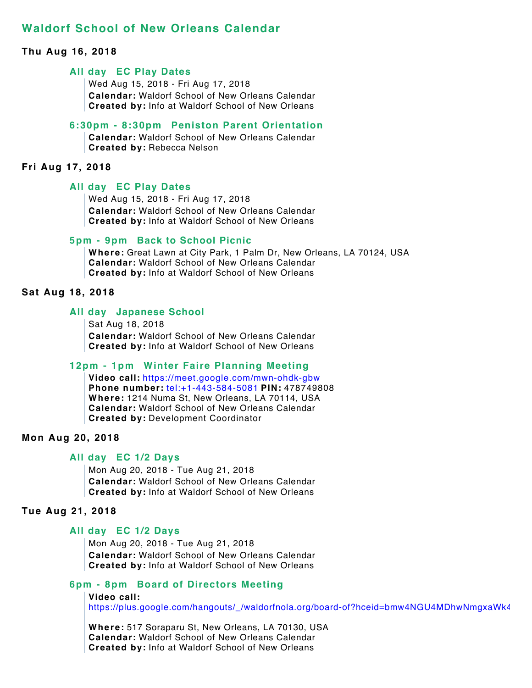## **Thu Aug 16, 2018**

## **All day EC Play Dates**

Wed Aug 15, 2018 - Fri Aug 17, 2018 **Calendar:** Waldorf School of New Orleans Calendar **Created by:** Info at Waldorf School of New Orleans

## **6:30pm - 8:30pm Peniston Parent Orientation**

**Calendar:** Waldorf School of New Orleans Calendar **Created by:** Rebecca Nelson

### **Fri Aug 17, 2018**

## **All day EC Play Dates**

Wed Aug 15, 2018 - Fri Aug 17, 2018 **Calendar:** Waldorf School of New Orleans Calendar **Created by:** Info at Waldorf School of New Orleans

#### **5pm - 9pm Back to School Picnic**

**Where:** Great Lawn at City Park, 1 Palm Dr, New Orleans, LA 70124, USA **Calendar:** Waldorf School of New Orleans Calendar **Created by:** Info at Waldorf School of New Orleans

#### **Sat Aug 18, 2018**

#### **All day Japanese School**

Sat Aug 18, 2018 **Calendar:** Waldorf School of New Orleans Calendar **Created by:** Info at Waldorf School of New Orleans

# **12pm - 1pm Winter Faire Planning Meeting**

**Video call:** https://meet.google.com/mwn-ohdk-gbw **Phone number:** tel:+1-443-584-5081 **PIN:** 478749808 **Where:** 1214 Numa St, New Orleans, LA 70114, USA **Calendar:** Waldorf School of New Orleans Calendar **Created by:** Development Coordinator

## **Mon Aug 20, 2018**

## **All day EC 1/2 Days**

Mon Aug 20, 2018 - Tue Aug 21, 2018 **Calendar:** Waldorf School of New Orleans Calendar **Created by:** Info at Waldorf School of New Orleans

#### **Tue Aug 21, 2018**

#### **All day EC 1/2 Days**

Mon Aug 20, 2018 - Tue Aug 21, 2018 **Calendar:** Waldorf School of New Orleans Calendar **Created by:** Info at Waldorf School of New Orleans

## **6pm - 8pm Board of Directors Meeting**

#### **Video call:**

https://plus.google.com/hangouts/\_/waldorfnola.org/board-of?hceid=bmw4NGU4MDhwNmgxaWk4

**Where:** 517 Soraparu St, New Orleans, LA 70130, USA **Calendar:** Waldorf School of New Orleans Calendar **Created by:** Info at Waldorf School of New Orleans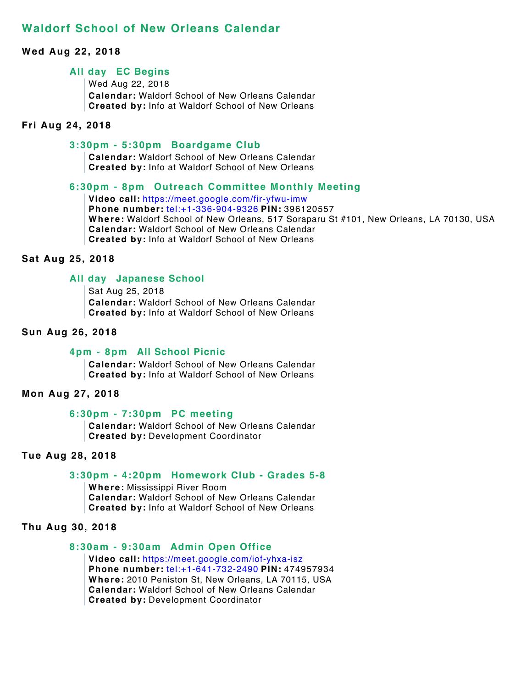## **Wed Aug 22, 2018**

# **All day EC Begins**

#### Wed Aug 22, 2018

**Calendar:** Waldorf School of New Orleans Calendar **Created by:** Info at Waldorf School of New Orleans

# **Fri Aug 24, 2018**

# **3:30pm - 5:30pm Boardgame Club**

**Calendar:** Waldorf School of New Orleans Calendar **Created by:** Info at Waldorf School of New Orleans

## **6:30pm - 8pm Outreach Committee Monthly Meeting**

**Video call:** https://meet.google.com/fir-yfwu-imw **Phone number:** tel:+1-336-904-9326 **PIN:** 396120557 **Where:** Waldorf School of New Orleans, 517 Soraparu St #101, New Orleans, LA 70130, USA **Calendar:** Waldorf School of New Orleans Calendar **Created by:** Info at Waldorf School of New Orleans

# **Sat Aug 25, 2018**

## **All day Japanese School**

Sat Aug 25, 2018 **Calendar:** Waldorf School of New Orleans Calendar **Created by:** Info at Waldorf School of New Orleans

# **Sun Aug 26, 2018**

## **4pm - 8pm All School Picnic**

**Calendar:** Waldorf School of New Orleans Calendar **Created by:** Info at Waldorf School of New Orleans

## **Mon Aug 27, 2018**

## **6:30pm - 7:30pm PC meeting**

**Calendar:** Waldorf School of New Orleans Calendar **Created by:** Development Coordinator

# **Tue Aug 28, 2018**

## **3:30pm - 4:20pm Homework Club - Grades 5-8**

**Where:** Mississippi River Room **Calendar:** Waldorf School of New Orleans Calendar **Created by:** Info at Waldorf School of New Orleans

## **Thu Aug 30, 2018**

## **8:30am - 9:30am Admin Open Office**

**Video call:** https://meet.google.com/iof-yhxa-isz **Phone number:** tel:+1-641-732-2490 **PIN:** 474957934 **Where:** 2010 Peniston St, New Orleans, LA 70115, USA **Calendar:** Waldorf School of New Orleans Calendar **Created by:** Development Coordinator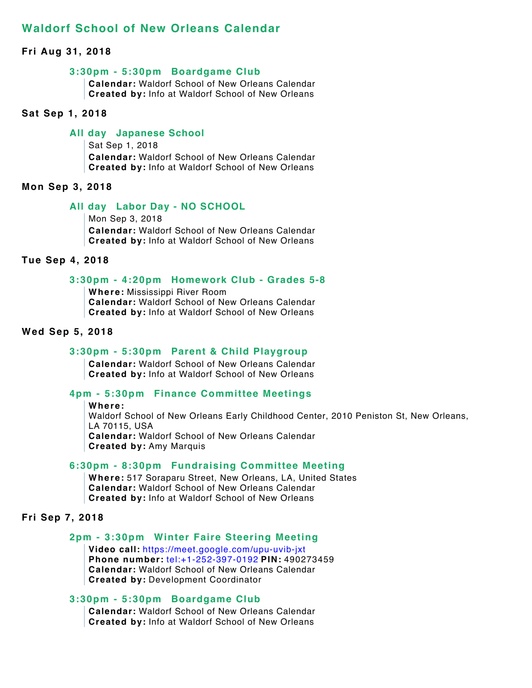## **Fri Aug 31, 2018**

# **3:30pm - 5:30pm Boardgame Club**

**Calendar:** Waldorf School of New Orleans Calendar **Created by:** Info at Waldorf School of New Orleans

## **Sat Sep 1, 2018**

## **All day Japanese School**

Sat Sep 1, 2018 **Calendar:** Waldorf School of New Orleans Calendar **Created by:** Info at Waldorf School of New Orleans

# **Mon Sep 3, 2018**

# **All day Labor Day - NO SCHOOL**

Mon Sep 3, 2018 **Calendar:** Waldorf School of New Orleans Calendar **Created by:** Info at Waldorf School of New Orleans

## **Tue Sep 4, 2018**

## **3:30pm - 4:20pm Homework Club - Grades 5-8**

**Where:** Mississippi River Room **Calendar:** Waldorf School of New Orleans Calendar **Created by:** Info at Waldorf School of New Orleans

# **Wed Sep 5, 2018**

# **3:30pm - 5:30pm Parent & Child Playgroup**

**Calendar:** Waldorf School of New Orleans Calendar **Created by:** Info at Waldorf School of New Orleans

## **4pm - 5:30pm Finance Committee Meetings**

#### **Where:**

Waldorf School of New Orleans Early Childhood Center, 2010 Peniston St, New Orleans, LA 70115, USA **Calendar:** Waldorf School of New Orleans Calendar **Created by:** Amy Marquis

# **6:30pm - 8:30pm Fundraising Committee Meeting**

**Where:** 517 Soraparu Street, New Orleans, LA, United States **Calendar:** Waldorf School of New Orleans Calendar **Created by:** Info at Waldorf School of New Orleans

# **Fri Sep 7, 2018**

# **2pm - 3:30pm Winter Faire Steering Meeting**

**Video call:** https://meet.google.com/upu-uvib-jxt **Phone number:** tel:+1-252-397-0192 **PIN:** 490273459 **Calendar:** Waldorf School of New Orleans Calendar **Created by:** Development Coordinator

## **3:30pm - 5:30pm Boardgame Club**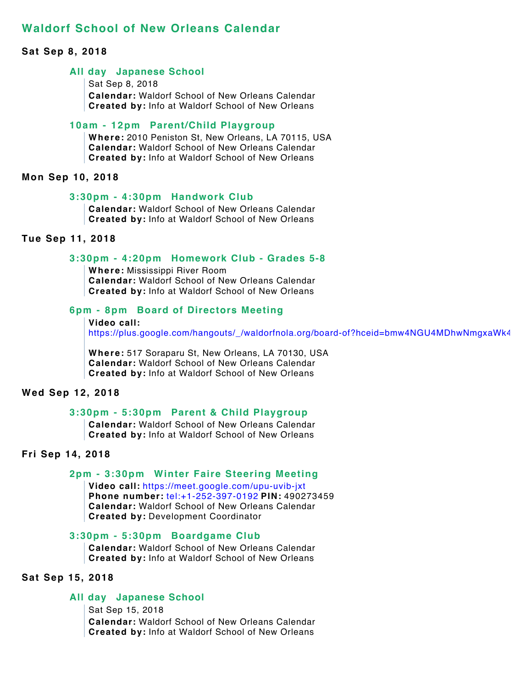## **Sat Sep 8, 2018**

## **All day Japanese School**

#### Sat Sep 8, 2018

**Calendar:** Waldorf School of New Orleans Calendar **Created by:** Info at Waldorf School of New Orleans

#### **10am - 12pm Parent/Child Playgroup**

**Where:** 2010 Peniston St, New Orleans, LA 70115, USA **Calendar:** Waldorf School of New Orleans Calendar **Created by:** Info at Waldorf School of New Orleans

## **Mon Sep 10, 2018**

#### **3:30pm - 4:30pm Handwork Club**

**Calendar:** Waldorf School of New Orleans Calendar **Created by:** Info at Waldorf School of New Orleans

# **Tue Sep 11, 2018**

### **3:30pm - 4:20pm Homework Club - Grades 5-8**

**Where:** Mississippi River Room **Calendar:** Waldorf School of New Orleans Calendar **Created by:** Info at Waldorf School of New Orleans

#### **6pm - 8pm Board of Directors Meeting**

#### **Video call:**

https://plus.google.com/hangouts/\_/waldorfnola.org/board-of?hceid=bmw4NGU4MDhwNmgxaWk4

**Where:** 517 Soraparu St, New Orleans, LA 70130, USA **Calendar:** Waldorf School of New Orleans Calendar **Created by:** Info at Waldorf School of New Orleans

#### **Wed Sep 12, 2018**

## **3:30pm - 5:30pm Parent & Child Playgroup**

**Calendar:** Waldorf School of New Orleans Calendar **Created by:** Info at Waldorf School of New Orleans

#### **Fri Sep 14, 2018**

## **2pm - 3:30pm Winter Faire Steering Meeting**

**Video call:** https://meet.google.com/upu-uvib-jxt **Phone number:** tel:+1-252-397-0192 **PIN:** 490273459 **Calendar:** Waldorf School of New Orleans Calendar **Created by:** Development Coordinator

#### **3:30pm - 5:30pm Boardgame Club**

**Calendar:** Waldorf School of New Orleans Calendar **Created by:** Info at Waldorf School of New Orleans

## **Sat Sep 15, 2018**

#### **All day Japanese School**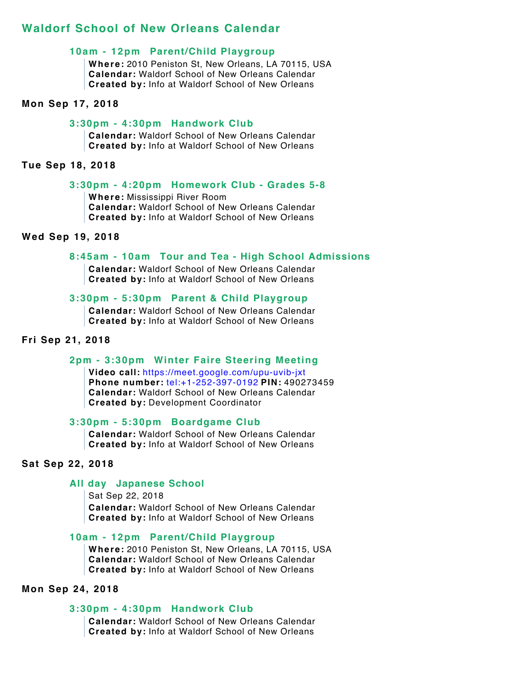## **10am - 12pm Parent/Child Playgroup**

**Where:** 2010 Peniston St, New Orleans, LA 70115, USA **Calendar:** Waldorf School of New Orleans Calendar **Created by:** Info at Waldorf School of New Orleans

## **Mon Sep 17, 2018**

#### **3:30pm - 4:30pm Handwork Club**

**Calendar:** Waldorf School of New Orleans Calendar **Created by:** Info at Waldorf School of New Orleans

#### **Tue Sep 18, 2018**

#### **3:30pm - 4:20pm Homework Club - Grades 5-8**

**Where:** Mississippi River Room **Calendar:** Waldorf School of New Orleans Calendar **Created by:** Info at Waldorf School of New Orleans

#### **Wed Sep 19, 2018**

#### **8:45am - 10am Tour and Tea - High School Admissions**

**Calendar:** Waldorf School of New Orleans Calendar **Created by:** Info at Waldorf School of New Orleans

#### **3:30pm - 5:30pm Parent & Child Playgroup**

**Calendar:** Waldorf School of New Orleans Calendar **Created by:** Info at Waldorf School of New Orleans

## **Fri Sep 21, 2018**

#### **2pm - 3:30pm Winter Faire Steering Meeting**

**Video call:** https://meet.google.com/upu-uvib-jxt **Phone number:** tel:+1-252-397-0192 **PIN:** 490273459 **Calendar:** Waldorf School of New Orleans Calendar **Created by:** Development Coordinator

#### **3:30pm - 5:30pm Boardgame Club**

**Calendar:** Waldorf School of New Orleans Calendar **Created by:** Info at Waldorf School of New Orleans

### **Sat Sep 22, 2018**

## **All day Japanese School**

Sat Sep 22, 2018 **Calendar:** Waldorf School of New Orleans Calendar **Created by:** Info at Waldorf School of New Orleans

#### **10am - 12pm Parent/Child Playgroup**

**Where:** 2010 Peniston St, New Orleans, LA 70115, USA **Calendar:** Waldorf School of New Orleans Calendar **Created by:** Info at Waldorf School of New Orleans

#### **Mon Sep 24, 2018**

## **3:30pm - 4:30pm Handwork Club**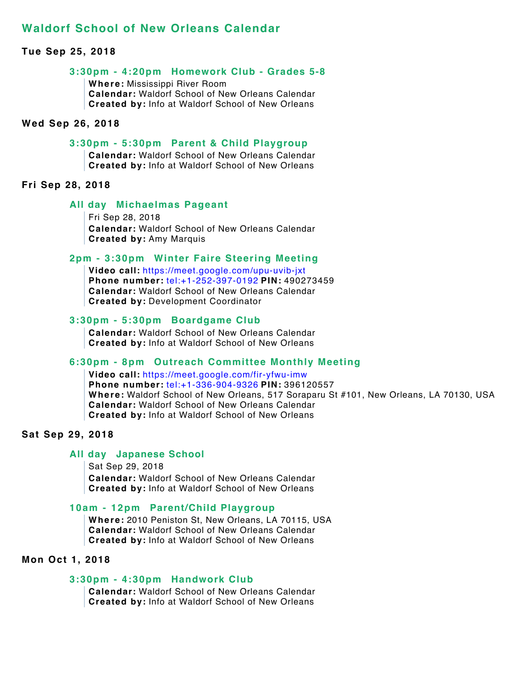### **Tue Sep 25, 2018**

### **3:30pm - 4:20pm Homework Club - Grades 5-8**

**Where:** Mississippi River Room **Calendar:** Waldorf School of New Orleans Calendar **Created by:** Info at Waldorf School of New Orleans

### **Wed Sep 26, 2018**

## **3:30pm - 5:30pm Parent & Child Playgroup**

**Calendar:** Waldorf School of New Orleans Calendar **Created by:** Info at Waldorf School of New Orleans

#### **Fri Sep 28, 2018**

# **All day Michaelmas Pageant**

Fri Sep 28, 2018 **Calendar:** Waldorf School of New Orleans Calendar **Created by:** Amy Marquis

### **2pm - 3:30pm Winter Faire Steering Meeting**

**Video call:** https://meet.google.com/upu-uvib-jxt **Phone number:** tel:+1-252-397-0192 **PIN:** 490273459 **Calendar:** Waldorf School of New Orleans Calendar **Created by:** Development Coordinator

## **3:30pm - 5:30pm Boardgame Club**

**Calendar:** Waldorf School of New Orleans Calendar **Created by:** Info at Waldorf School of New Orleans

## **6:30pm - 8pm Outreach Committee Monthly Meeting**

**Video call:** https://meet.google.com/fir-yfwu-imw **Phone number:** tel:+1-336-904-9326 **PIN:** 396120557 **Where:** Waldorf School of New Orleans, 517 Soraparu St #101, New Orleans, LA 70130, USA **Calendar:** Waldorf School of New Orleans Calendar **Created by:** Info at Waldorf School of New Orleans

## **Sat Sep 29, 2018**

#### **All day Japanese School**

Sat Sep 29, 2018 **Calendar:** Waldorf School of New Orleans Calendar **Created by:** Info at Waldorf School of New Orleans

# **10am - 12pm Parent/Child Playgroup**

**Where:** 2010 Peniston St, New Orleans, LA 70115, USA **Calendar:** Waldorf School of New Orleans Calendar **Created by:** Info at Waldorf School of New Orleans

# **Mon Oct 1, 2018**

## **3:30pm - 4:30pm Handwork Club**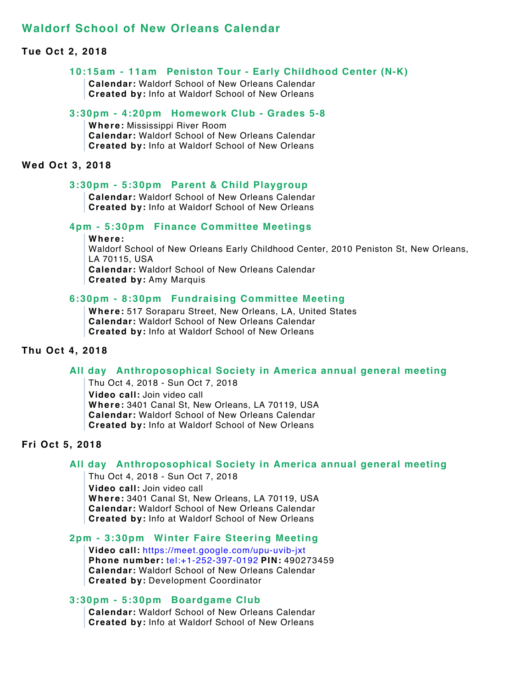## **Tue Oct 2, 2018**

## **10:15am - 11am Peniston Tour - Early Childhood Center (N-K)**

**Calendar:** Waldorf School of New Orleans Calendar **Created by:** Info at Waldorf School of New Orleans

## **3:30pm - 4:20pm Homework Club - Grades 5-8**

**Where:** Mississippi River Room **Calendar:** Waldorf School of New Orleans Calendar **Created by:** Info at Waldorf School of New Orleans

#### **Wed Oct 3, 2018**

#### **3:30pm - 5:30pm Parent & Child Playgroup**

**Calendar:** Waldorf School of New Orleans Calendar **Created by:** Info at Waldorf School of New Orleans

### **4pm - 5:30pm Finance Committee Meetings**

**Where:**

Waldorf School of New Orleans Early Childhood Center, 2010 Peniston St, New Orleans, LA 70115, USA **Calendar:** Waldorf School of New Orleans Calendar **Created by:** Amy Marquis

## **6:30pm - 8:30pm Fundraising Committee Meeting**

**Where:** 517 Soraparu Street, New Orleans, LA, United States **Calendar:** Waldorf School of New Orleans Calendar **Created by:** Info at Waldorf School of New Orleans

## **Thu Oct 4, 2018**

#### **All day Anthroposophical Society in America annual general meeting**

Thu Oct 4, 2018 - Sun Oct 7, 2018 **Video call:** Join video call **Where:** 3401 Canal St, New Orleans, LA 70119, USA **Calendar:** Waldorf School of New Orleans Calendar **Created by:** Info at Waldorf School of New Orleans

# **Fri Oct 5, 2018**

#### **All day Anthroposophical Society in America annual general meeting**

Thu Oct 4, 2018 - Sun Oct 7, 2018 **Video call:** Join video call **Where:** 3401 Canal St, New Orleans, LA 70119, USA **Calendar:** Waldorf School of New Orleans Calendar **Created by:** Info at Waldorf School of New Orleans

### **2pm - 3:30pm Winter Faire Steering Meeting**

**Video call:** https://meet.google.com/upu-uvib-jxt **Phone number:** tel:+1-252-397-0192 **PIN:** 490273459 **Calendar:** Waldorf School of New Orleans Calendar **Created by:** Development Coordinator

# **3:30pm - 5:30pm Boardgame Club**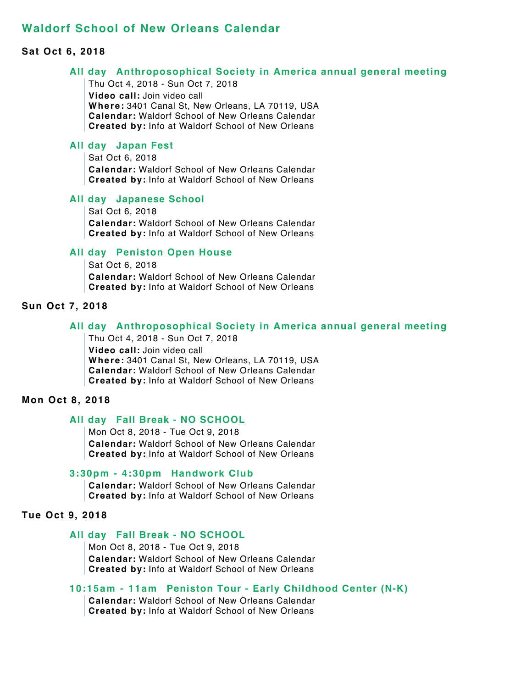## **Sat Oct 6, 2018**

## **All day Anthroposophical Society in America annual general meeting**

Thu Oct 4, 2018 - Sun Oct 7, 2018 **Video call:** Join video call **Where:** 3401 Canal St, New Orleans, LA 70119, USA **Calendar:** Waldorf School of New Orleans Calendar **Created by:** Info at Waldorf School of New Orleans

## **All day Japan Fest**

Sat Oct 6, 2018

**Calendar:** Waldorf School of New Orleans Calendar **Created by:** Info at Waldorf School of New Orleans

#### **All day Japanese School**

Sat Oct 6, 2018 **Calendar:** Waldorf School of New Orleans Calendar **Created by:** Info at Waldorf School of New Orleans

## **All day Peniston Open House**

Sat Oct 6, 2018 **Calendar:** Waldorf School of New Orleans Calendar **Created by:** Info at Waldorf School of New Orleans

# **Sun Oct 7, 2018**

#### **All day Anthroposophical Society in America annual general meeting**

Thu Oct 4, 2018 - Sun Oct 7, 2018 **Video call:** Join video call **Where:** 3401 Canal St, New Orleans, LA 70119, USA **Calendar:** Waldorf School of New Orleans Calendar **Created by:** Info at Waldorf School of New Orleans

#### **Mon Oct 8, 2018**

## **All day Fall Break - NO SCHOOL**

Mon Oct 8, 2018 - Tue Oct 9, 2018 **Calendar:** Waldorf School of New Orleans Calendar **Created by:** Info at Waldorf School of New Orleans

## **3:30pm - 4:30pm Handwork Club**

**Calendar:** Waldorf School of New Orleans Calendar **Created by:** Info at Waldorf School of New Orleans

## **Tue Oct 9, 2018**

# **All day Fall Break - NO SCHOOL**

Mon Oct 8, 2018 - Tue Oct 9, 2018 **Calendar:** Waldorf School of New Orleans Calendar **Created by:** Info at Waldorf School of New Orleans

#### **10:15am - 11am Peniston Tour - Early Childhood Center (N-K)**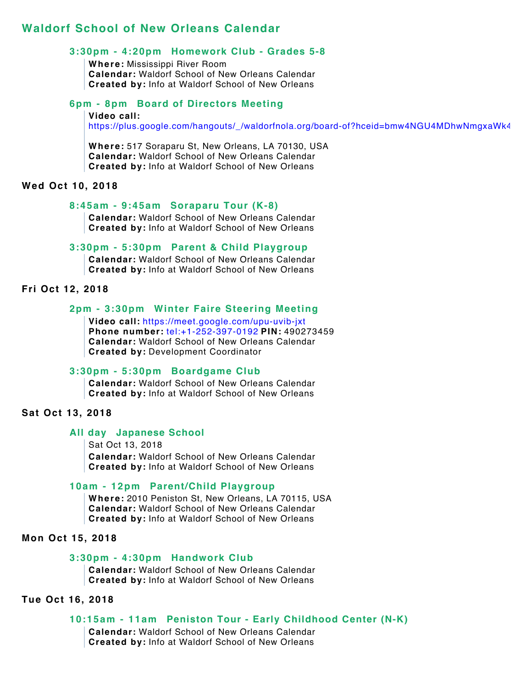# **3:30pm - 4:20pm Homework Club - Grades 5-8**

**Where:** Mississippi River Room **Calendar:** Waldorf School of New Orleans Calendar **Created by:** Info at Waldorf School of New Orleans

#### **6pm - 8pm Board of Directors Meeting**

#### **Video call:**

https://plus.google.com/hangouts/\_/waldorfnola.org/board-of?hceid=bmw4NGU4MDhwNmgxaWk4

**Where:** 517 Soraparu St, New Orleans, LA 70130, USA **Calendar:** Waldorf School of New Orleans Calendar **Created by:** Info at Waldorf School of New Orleans

#### **Wed Oct 10, 2018**

#### **8:45am - 9:45am Soraparu Tour (K-8)**

**Calendar:** Waldorf School of New Orleans Calendar **Created by:** Info at Waldorf School of New Orleans

#### **3:30pm - 5:30pm Parent & Child Playgroup**

**Calendar:** Waldorf School of New Orleans Calendar **Created by:** Info at Waldorf School of New Orleans

## **Fri Oct 12, 2018**

#### **2pm - 3:30pm Winter Faire Steering Meeting**

**Video call:** https://meet.google.com/upu-uvib-jxt **Phone number:** tel:+1-252-397-0192 **PIN:** 490273459 **Calendar:** Waldorf School of New Orleans Calendar **Created by:** Development Coordinator

# **3:30pm - 5:30pm Boardgame Club**

**Calendar:** Waldorf School of New Orleans Calendar **Created by:** Info at Waldorf School of New Orleans

# **Sat Oct 13, 2018**

## **All day Japanese School**

Sat Oct 13, 2018

**Calendar:** Waldorf School of New Orleans Calendar **Created by:** Info at Waldorf School of New Orleans

#### **10am - 12pm Parent/Child Playgroup**

**Where:** 2010 Peniston St, New Orleans, LA 70115, USA **Calendar:** Waldorf School of New Orleans Calendar **Created by:** Info at Waldorf School of New Orleans

#### **Mon Oct 15, 2018**

#### **3:30pm - 4:30pm Handwork Club**

**Calendar:** Waldorf School of New Orleans Calendar **Created by:** Info at Waldorf School of New Orleans

## **Tue Oct 16, 2018**

#### **10:15am - 11am Peniston Tour - Early Childhood Center (N-K)**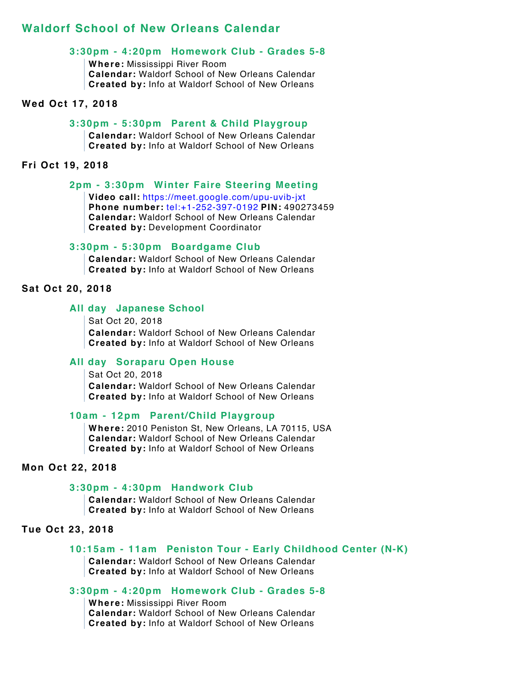## **3:30pm - 4:20pm Homework Club - Grades 5-8**

**Where:** Mississippi River Room **Calendar:** Waldorf School of New Orleans Calendar **Created by:** Info at Waldorf School of New Orleans

#### **Wed Oct 17, 2018**

#### **3:30pm - 5:30pm Parent & Child Playgroup**

**Calendar:** Waldorf School of New Orleans Calendar **Created by:** Info at Waldorf School of New Orleans

#### **Fri Oct 19, 2018**

#### **2pm - 3:30pm Winter Faire Steering Meeting**

**Video call:** https://meet.google.com/upu-uvib-jxt **Phone number:** tel:+1-252-397-0192 **PIN:** 490273459 **Calendar:** Waldorf School of New Orleans Calendar **Created by:** Development Coordinator

## **3:30pm - 5:30pm Boardgame Club**

**Calendar:** Waldorf School of New Orleans Calendar **Created by:** Info at Waldorf School of New Orleans

## **Sat Oct 20, 2018**

#### **All day Japanese School**

Sat Oct 20, 2018 **Calendar:** Waldorf School of New Orleans Calendar **Created by:** Info at Waldorf School of New Orleans

#### **All day Soraparu Open House**

Sat Oct 20, 2018 **Calendar:** Waldorf School of New Orleans Calendar **Created by:** Info at Waldorf School of New Orleans

## **10am - 12pm Parent/Child Playgroup**

**Where:** 2010 Peniston St, New Orleans, LA 70115, USA **Calendar:** Waldorf School of New Orleans Calendar **Created by:** Info at Waldorf School of New Orleans

## **Mon Oct 22, 2018**

#### **3:30pm - 4:30pm Handwork Club**

**Calendar:** Waldorf School of New Orleans Calendar **Created by:** Info at Waldorf School of New Orleans

## **Tue Oct 23, 2018**

# **10:15am - 11am Peniston Tour - Early Childhood Center (N-K)**

**Calendar:** Waldorf School of New Orleans Calendar **Created by:** Info at Waldorf School of New Orleans

# **3:30pm - 4:20pm Homework Club - Grades 5-8**

**Where:** Mississippi River Room **Calendar:** Waldorf School of New Orleans Calendar **Created by:** Info at Waldorf School of New Orleans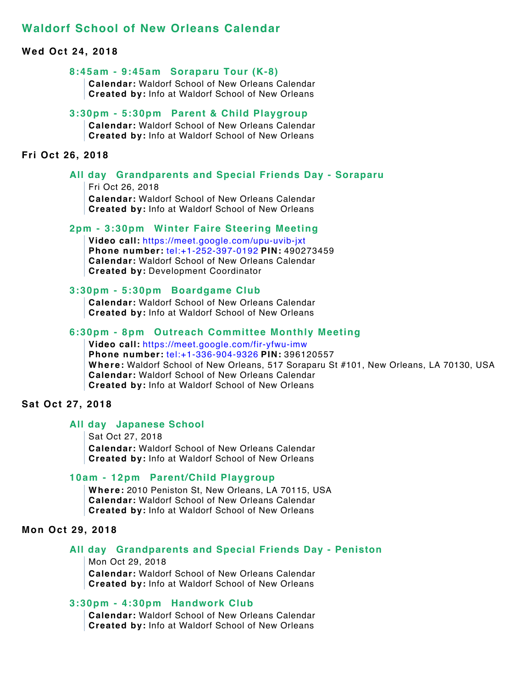### **Wed Oct 24, 2018**

## **8:45am - 9:45am Soraparu Tour (K-8)**

**Calendar:** Waldorf School of New Orleans Calendar **Created by:** Info at Waldorf School of New Orleans

# **3:30pm - 5:30pm Parent & Child Playgroup**

**Calendar:** Waldorf School of New Orleans Calendar **Created by:** Info at Waldorf School of New Orleans

# **Fri Oct 26, 2018**

#### **All day Grandparents and Special Friends Day - Soraparu**

Fri Oct 26, 2018 **Calendar:** Waldorf School of New Orleans Calendar **Created by:** Info at Waldorf School of New Orleans

#### **2pm - 3:30pm Winter Faire Steering Meeting**

**Video call:** https://meet.google.com/upu-uvib-jxt **Phone number:** tel:+1-252-397-0192 **PIN:** 490273459 **Calendar:** Waldorf School of New Orleans Calendar **Created by:** Development Coordinator

#### **3:30pm - 5:30pm Boardgame Club**

**Calendar:** Waldorf School of New Orleans Calendar **Created by:** Info at Waldorf School of New Orleans

#### **6:30pm - 8pm Outreach Committee Monthly Meeting**

**Video call:** https://meet.google.com/fir-yfwu-imw **Phone number:** tel:+1-336-904-9326 **PIN:** 396120557 **Where:** Waldorf School of New Orleans, 517 Soraparu St #101, New Orleans, LA 70130, USA **Calendar:** Waldorf School of New Orleans Calendar **Created by:** Info at Waldorf School of New Orleans

## **Sat Oct 27, 2018**

#### **All day Japanese School**

Sat Oct 27, 2018 **Calendar:** Waldorf School of New Orleans Calendar **Created by:** Info at Waldorf School of New Orleans

## **10am - 12pm Parent/Child Playgroup**

**Where:** 2010 Peniston St, New Orleans, LA 70115, USA **Calendar:** Waldorf School of New Orleans Calendar **Created by:** Info at Waldorf School of New Orleans

# **Mon Oct 29, 2018**

# **All day Grandparents and Special Friends Day - Peniston**

Mon Oct 29, 2018

**Calendar:** Waldorf School of New Orleans Calendar **Created by:** Info at Waldorf School of New Orleans

## **3:30pm - 4:30pm Handwork Club**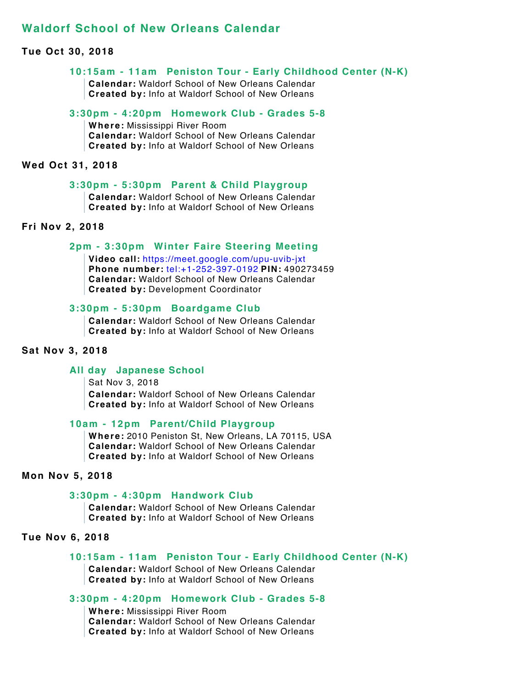### **Tue Oct 30, 2018**

## **10:15am - 11am Peniston Tour - Early Childhood Center (N-K)**

**Calendar:** Waldorf School of New Orleans Calendar **Created by:** Info at Waldorf School of New Orleans

## **3:30pm - 4:20pm Homework Club - Grades 5-8**

**Where:** Mississippi River Room **Calendar:** Waldorf School of New Orleans Calendar **Created by:** Info at Waldorf School of New Orleans

#### **Wed Oct 31, 2018**

#### **3:30pm - 5:30pm Parent & Child Playgroup**

**Calendar:** Waldorf School of New Orleans Calendar **Created by:** Info at Waldorf School of New Orleans

# **Fri Nov 2, 2018**

#### **2pm - 3:30pm Winter Faire Steering Meeting**

**Video call:** https://meet.google.com/upu-uvib-jxt **Phone number:** tel:+1-252-397-0192 **PIN:** 490273459 **Calendar:** Waldorf School of New Orleans Calendar **Created by:** Development Coordinator

#### **3:30pm - 5:30pm Boardgame Club**

**Calendar:** Waldorf School of New Orleans Calendar **Created by:** Info at Waldorf School of New Orleans

#### **Sat Nov 3, 2018**

## **All day Japanese School**

Sat Nov 3, 2018 **Calendar:** Waldorf School of New Orleans Calendar **Created by:** Info at Waldorf School of New Orleans

#### **10am - 12pm Parent/Child Playgroup**

**Where:** 2010 Peniston St, New Orleans, LA 70115, USA **Calendar:** Waldorf School of New Orleans Calendar **Created by:** Info at Waldorf School of New Orleans

# **Mon Nov 5, 2018**

### **3:30pm - 4:30pm Handwork Club**

**Calendar:** Waldorf School of New Orleans Calendar **Created by:** Info at Waldorf School of New Orleans

### **Tue Nov 6, 2018**

#### **10:15am - 11am Peniston Tour - Early Childhood Center (N-K)**

**Calendar:** Waldorf School of New Orleans Calendar **Created by:** Info at Waldorf School of New Orleans

#### **3:30pm - 4:20pm Homework Club - Grades 5-8**

**Where:** Mississippi River Room **Calendar:** Waldorf School of New Orleans Calendar **Created by:** Info at Waldorf School of New Orleans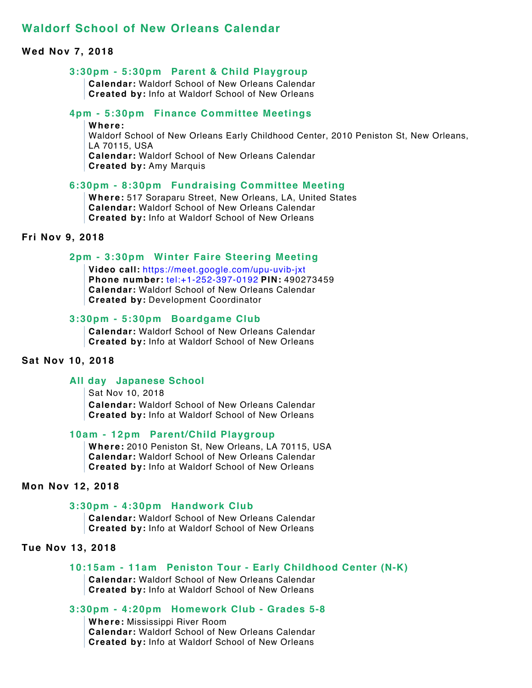### **Wed Nov 7, 2018**

## **3:30pm - 5:30pm Parent & Child Playgroup**

**Calendar:** Waldorf School of New Orleans Calendar **Created by:** Info at Waldorf School of New Orleans

#### **4pm - 5:30pm Finance Committee Meetings**

#### **Where:**

Waldorf School of New Orleans Early Childhood Center, 2010 Peniston St, New Orleans, LA 70115, USA **Calendar:** Waldorf School of New Orleans Calendar

**Created by:** Amy Marquis

## **6:30pm - 8:30pm Fundraising Committee Meeting**

**Where:** 517 Soraparu Street, New Orleans, LA, United States **Calendar:** Waldorf School of New Orleans Calendar **Created by:** Info at Waldorf School of New Orleans

## **Fri Nov 9, 2018**

#### **2pm - 3:30pm Winter Faire Steering Meeting**

**Video call:** https://meet.google.com/upu-uvib-jxt **Phone number:** tel:+1-252-397-0192 **PIN:** 490273459 **Calendar:** Waldorf School of New Orleans Calendar **Created by:** Development Coordinator

## **3:30pm - 5:30pm Boardgame Club**

**Calendar:** Waldorf School of New Orleans Calendar **Created by:** Info at Waldorf School of New Orleans

## **Sat Nov 10, 2018**

#### **All day Japanese School**

Sat Nov 10, 2018 **Calendar:** Waldorf School of New Orleans Calendar **Created by:** Info at Waldorf School of New Orleans

## **10am - 12pm Parent/Child Playgroup**

**Where:** 2010 Peniston St, New Orleans, LA 70115, USA **Calendar:** Waldorf School of New Orleans Calendar **Created by:** Info at Waldorf School of New Orleans

#### **Mon Nov 12, 2018**

### **3:30pm - 4:30pm Handwork Club**

**Calendar:** Waldorf School of New Orleans Calendar **Created by:** Info at Waldorf School of New Orleans

#### **Tue Nov 13, 2018**

#### **10:15am - 11am Peniston Tour - Early Childhood Center (N-K)**

**Calendar:** Waldorf School of New Orleans Calendar **Created by:** Info at Waldorf School of New Orleans

# **3:30pm - 4:20pm Homework Club - Grades 5-8**

**Where:** Mississippi River Room **Calendar:** Waldorf School of New Orleans Calendar **Created by:** Info at Waldorf School of New Orleans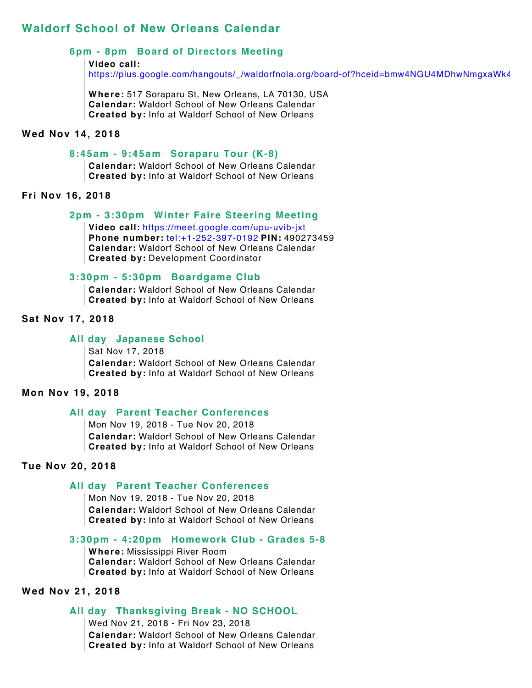# **6pm - 8pm Board of Directors Meeting**

#### **Video call:**

https://plus.google.com/hangouts/\_/waldorfnola.org/board-of?hceid=bmw4NGU4MDhwNmgxaWk4

**Where:** 517 Soraparu St, New Orleans, LA 70130, USA **Calendar:** Waldorf School of New Orleans Calendar **Created by:** Info at Waldorf School of New Orleans

#### **Wed Nov 14, 2018**

# **8:45am - 9:45am Soraparu Tour (K-8)**

**Calendar:** Waldorf School of New Orleans Calendar **Created by:** Info at Waldorf School of New Orleans

## **Fri Nov 16, 2018**

### **2pm - 3:30pm Winter Faire Steering Meeting**

**Video call:** https://meet.google.com/upu-uvib-jxt **Phone number:** tel:+1-252-397-0192 **PIN:** 490273459 **Calendar:** Waldorf School of New Orleans Calendar **Created by:** Development Coordinator

## **3:30pm - 5:30pm Boardgame Club**

**Calendar:** Waldorf School of New Orleans Calendar **Created by:** Info at Waldorf School of New Orleans

## **Sat Nov 17, 2018**

## **All day Japanese School**

Sat Nov 17, 2018 **Calendar:** Waldorf School of New Orleans Calendar **Created by:** Info at Waldorf School of New Orleans

#### **Mon Nov 19, 2018**

## **All day Parent Teacher Conferences**

Mon Nov 19, 2018 - Tue Nov 20, 2018 **Calendar:** Waldorf School of New Orleans Calendar **Created by:** Info at Waldorf School of New Orleans

#### **Tue Nov 20, 2018**

#### **All day Parent Teacher Conferences**

Mon Nov 19, 2018 - Tue Nov 20, 2018 **Calendar:** Waldorf School of New Orleans Calendar **Created by:** Info at Waldorf School of New Orleans

#### **3:30pm - 4:20pm Homework Club - Grades 5-8**

**Where:** Mississippi River Room **Calendar:** Waldorf School of New Orleans Calendar **Created by:** Info at Waldorf School of New Orleans

## **Wed Nov 21, 2018**

## **All day Thanksgiving Break - NO SCHOOL**

Wed Nov 21, 2018 - Fri Nov 23, 2018 **Calendar:** Waldorf School of New Orleans Calendar **Created by:** Info at Waldorf School of New Orleans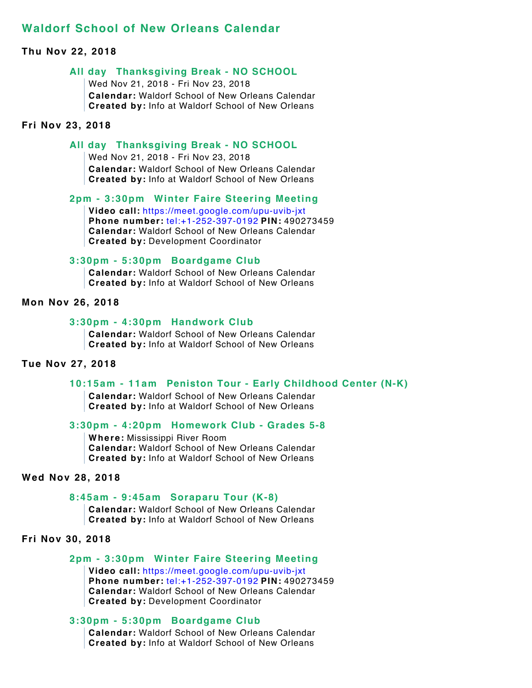### **Thu Nov 22, 2018**

#### **All day Thanksgiving Break - NO SCHOOL**

Wed Nov 21, 2018 - Fri Nov 23, 2018 **Calendar:** Waldorf School of New Orleans Calendar **Created by:** Info at Waldorf School of New Orleans

# **Fri Nov 23, 2018**

#### **All day Thanksgiving Break - NO SCHOOL**

Wed Nov 21, 2018 - Fri Nov 23, 2018 **Calendar:** Waldorf School of New Orleans Calendar **Created by:** Info at Waldorf School of New Orleans

#### **2pm - 3:30pm Winter Faire Steering Meeting**

**Video call:** https://meet.google.com/upu-uvib-jxt **Phone number:** tel:+1-252-397-0192 **PIN:** 490273459 **Calendar:** Waldorf School of New Orleans Calendar **Created by:** Development Coordinator

## **3:30pm - 5:30pm Boardgame Club**

**Calendar:** Waldorf School of New Orleans Calendar **Created by:** Info at Waldorf School of New Orleans

#### **Mon Nov 26, 2018**

#### **3:30pm - 4:30pm Handwork Club**

**Calendar:** Waldorf School of New Orleans Calendar **Created by:** Info at Waldorf School of New Orleans

### **Tue Nov 27, 2018**

#### **10:15am - 11am Peniston Tour - Early Childhood Center (N-K)**

**Calendar:** Waldorf School of New Orleans Calendar **Created by:** Info at Waldorf School of New Orleans

#### **3:30pm - 4:20pm Homework Club - Grades 5-8**

**Where:** Mississippi River Room **Calendar:** Waldorf School of New Orleans Calendar **Created by:** Info at Waldorf School of New Orleans

## **Wed Nov 28, 2018**

# **8:45am - 9:45am Soraparu Tour (K-8)**

**Calendar:** Waldorf School of New Orleans Calendar **Created by:** Info at Waldorf School of New Orleans

### **Fri Nov 30, 2018**

# **2pm - 3:30pm Winter Faire Steering Meeting**

**Video call:** https://meet.google.com/upu-uvib-jxt **Phone number:** tel:+1-252-397-0192 **PIN:** 490273459 **Calendar:** Waldorf School of New Orleans Calendar **Created by:** Development Coordinator

## **3:30pm - 5:30pm Boardgame Club**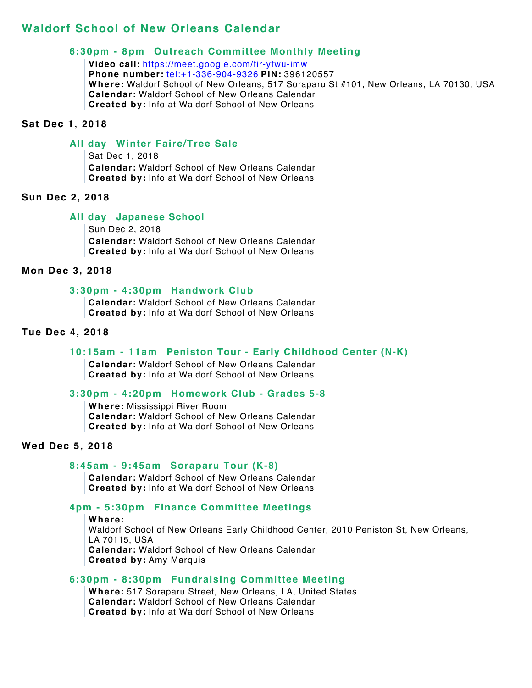## **6:30pm - 8pm Outreach Committee Monthly Meeting**

**Video call:** https://meet.google.com/fir-yfwu-imw **Phone number:** tel:+1-336-904-9326 **PIN:** 396120557 **Where:** Waldorf School of New Orleans, 517 Soraparu St #101, New Orleans, LA 70130, USA **Calendar:** Waldorf School of New Orleans Calendar **Created by:** Info at Waldorf School of New Orleans

### **Sat Dec 1, 2018**

## **All day Winter Faire/Tree Sale**

Sat Dec 1, 2018 **Calendar:** Waldorf School of New Orleans Calendar **Created by:** Info at Waldorf School of New Orleans

#### **Sun Dec 2, 2018**

## **All day Japanese School**

Sun Dec 2, 2018

**Calendar:** Waldorf School of New Orleans Calendar **Created by:** Info at Waldorf School of New Orleans

#### **Mon Dec 3, 2018**

#### **3:30pm - 4:30pm Handwork Club**

**Calendar:** Waldorf School of New Orleans Calendar **Created by:** Info at Waldorf School of New Orleans

## **Tue Dec 4, 2018**

## **10:15am - 11am Peniston Tour - Early Childhood Center (N-K)**

**Calendar:** Waldorf School of New Orleans Calendar **Created by:** Info at Waldorf School of New Orleans

#### **3:30pm - 4:20pm Homework Club - Grades 5-8**

**Where:** Mississippi River Room **Calendar:** Waldorf School of New Orleans Calendar **Created by:** Info at Waldorf School of New Orleans

#### **Wed Dec 5, 2018**

# **8:45am - 9:45am Soraparu Tour (K-8)**

**Calendar:** Waldorf School of New Orleans Calendar **Created by:** Info at Waldorf School of New Orleans

# **4pm - 5:30pm Finance Committee Meetings**

#### **Where:**

Waldorf School of New Orleans Early Childhood Center, 2010 Peniston St, New Orleans, LA 70115, USA **Calendar:** Waldorf School of New Orleans Calendar **Created by:** Amy Marquis

## **6:30pm - 8:30pm Fundraising Committee Meeting**

**Where:** 517 Soraparu Street, New Orleans, LA, United States **Calendar:** Waldorf School of New Orleans Calendar **Created by:** Info at Waldorf School of New Orleans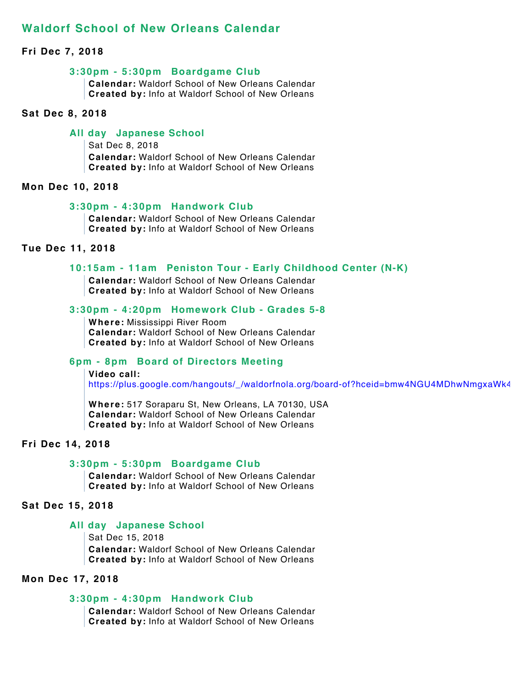## **Fri Dec 7, 2018**

## **3:30pm - 5:30pm Boardgame Club**

**Calendar:** Waldorf School of New Orleans Calendar **Created by:** Info at Waldorf School of New Orleans

# **Sat Dec 8, 2018**

## **All day Japanese School**

Sat Dec 8, 2018 **Calendar:** Waldorf School of New Orleans Calendar **Created by:** Info at Waldorf School of New Orleans

# **Mon Dec 10, 2018**

## **3:30pm - 4:30pm Handwork Club**

**Calendar:** Waldorf School of New Orleans Calendar **Created by:** Info at Waldorf School of New Orleans

## **Tue Dec 11, 2018**

## **10:15am - 11am Peniston Tour - Early Childhood Center (N-K)**

**Calendar:** Waldorf School of New Orleans Calendar **Created by:** Info at Waldorf School of New Orleans

#### **3:30pm - 4:20pm Homework Club - Grades 5-8**

**Where:** Mississippi River Room **Calendar:** Waldorf School of New Orleans Calendar **Created by:** Info at Waldorf School of New Orleans

# **6pm - 8pm Board of Directors Meeting**

#### **Video call:**

https://plus.google.com/hangouts/\_/waldorfnola.org/board-of?hceid=bmw4NGU4MDhwNmgxaWk4

**Where:** 517 Soraparu St, New Orleans, LA 70130, USA **Calendar:** Waldorf School of New Orleans Calendar **Created by:** Info at Waldorf School of New Orleans

# **Fri Dec 14, 2018**

## **3:30pm - 5:30pm Boardgame Club**

**Calendar:** Waldorf School of New Orleans Calendar **Created by:** Info at Waldorf School of New Orleans

#### **Sat Dec 15, 2018**

## **All day Japanese School**

Sat Dec 15, 2018 **Calendar:** Waldorf School of New Orleans Calendar **Created by:** Info at Waldorf School of New Orleans

## **Mon Dec 17, 2018**

## **3:30pm - 4:30pm Handwork Club**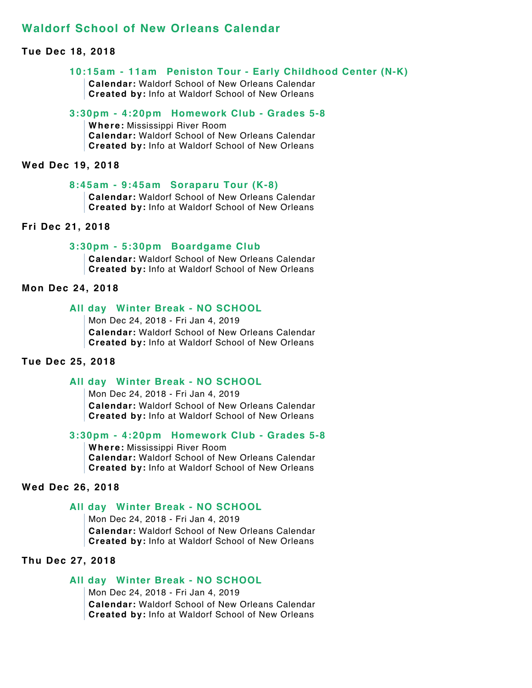#### **Tue Dec 18, 2018**

## **10:15am - 11am Peniston Tour - Early Childhood Center (N-K)**

**Calendar:** Waldorf School of New Orleans Calendar **Created by:** Info at Waldorf School of New Orleans

## **3:30pm - 4:20pm Homework Club - Grades 5-8**

**Where:** Mississippi River Room **Calendar:** Waldorf School of New Orleans Calendar **Created by:** Info at Waldorf School of New Orleans

#### **Wed Dec 19, 2018**

#### **8:45am - 9:45am Soraparu Tour (K-8)**

**Calendar:** Waldorf School of New Orleans Calendar **Created by:** Info at Waldorf School of New Orleans

#### **Fri Dec 21, 2018**

### **3:30pm - 5:30pm Boardgame Club**

**Calendar:** Waldorf School of New Orleans Calendar **Created by:** Info at Waldorf School of New Orleans

## **Mon Dec 24, 2018**

## **All day Winter Break - NO SCHOOL**

Mon Dec 24, 2018 - Fri Jan 4, 2019 **Calendar:** Waldorf School of New Orleans Calendar **Created by:** Info at Waldorf School of New Orleans

## **Tue Dec 25, 2018**

#### **All day Winter Break - NO SCHOOL**

Mon Dec 24, 2018 - Fri Jan 4, 2019 **Calendar:** Waldorf School of New Orleans Calendar **Created by:** Info at Waldorf School of New Orleans

#### **3:30pm - 4:20pm Homework Club - Grades 5-8**

**Where:** Mississippi River Room **Calendar:** Waldorf School of New Orleans Calendar **Created by:** Info at Waldorf School of New Orleans

## **Wed Dec 26, 2018**

### **All day Winter Break - NO SCHOOL**

Mon Dec 24, 2018 - Fri Jan 4, 2019 **Calendar:** Waldorf School of New Orleans Calendar **Created by:** Info at Waldorf School of New Orleans

### **Thu Dec 27, 2018**

#### **All day Winter Break - NO SCHOOL**

Mon Dec 24, 2018 - Fri Jan 4, 2019 **Calendar:** Waldorf School of New Orleans Calendar **Created by:** Info at Waldorf School of New Orleans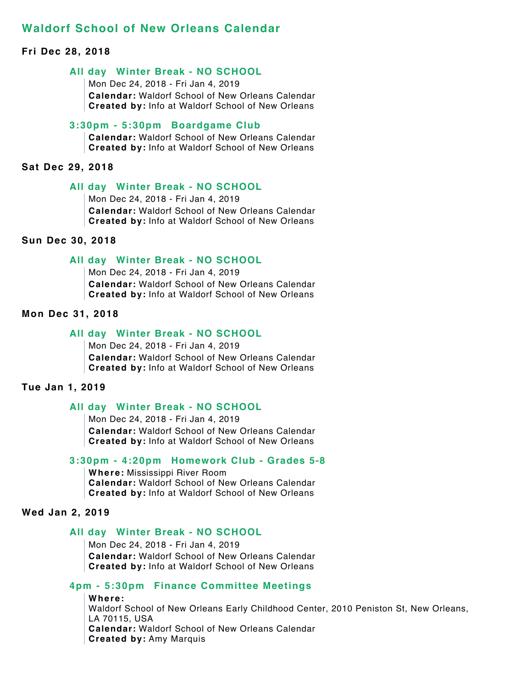#### **Fri Dec 28, 2018**

## **All day Winter Break - NO SCHOOL**

Mon Dec 24, 2018 - Fri Jan 4, 2019 **Calendar:** Waldorf School of New Orleans Calendar **Created by:** Info at Waldorf School of New Orleans

#### **3:30pm - 5:30pm Boardgame Club**

**Calendar:** Waldorf School of New Orleans Calendar **Created by:** Info at Waldorf School of New Orleans

### **Sat Dec 29, 2018**

### **All day Winter Break - NO SCHOOL**

Mon Dec 24, 2018 - Fri Jan 4, 2019 **Calendar:** Waldorf School of New Orleans Calendar **Created by:** Info at Waldorf School of New Orleans

# **Sun Dec 30, 2018**

## **All day Winter Break - NO SCHOOL**

Mon Dec 24, 2018 - Fri Jan 4, 2019 **Calendar:** Waldorf School of New Orleans Calendar **Created by:** Info at Waldorf School of New Orleans

#### **Mon Dec 31, 2018**

#### **All day Winter Break - NO SCHOOL**

Mon Dec 24, 2018 - Fri Jan 4, 2019 **Calendar:** Waldorf School of New Orleans Calendar **Created by:** Info at Waldorf School of New Orleans

### **Tue Jan 1, 2019**

# **All day Winter Break - NO SCHOOL**

Mon Dec 24, 2018 - Fri Jan 4, 2019

**Calendar:** Waldorf School of New Orleans Calendar **Created by:** Info at Waldorf School of New Orleans

#### **3:30pm - 4:20pm Homework Club - Grades 5-8**

**Where:** Mississippi River Room **Calendar:** Waldorf School of New Orleans Calendar **Created by:** Info at Waldorf School of New Orleans

#### **Wed Jan 2, 2019**

#### **All day Winter Break - NO SCHOOL**

Mon Dec 24, 2018 - Fri Jan 4, 2019 **Calendar:** Waldorf School of New Orleans Calendar **Created by:** Info at Waldorf School of New Orleans

#### **4pm - 5:30pm Finance Committee Meetings**

**Where:** Waldorf School of New Orleans Early Childhood Center, 2010 Peniston St, New Orleans, LA 70115, USA **Calendar:** Waldorf School of New Orleans Calendar **Created by:** Amy Marquis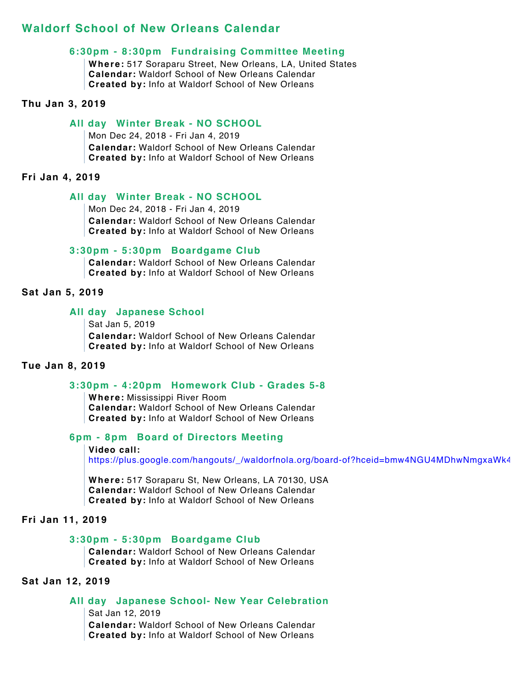## **6:30pm - 8:30pm Fundraising Committee Meeting**

**Where:** 517 Soraparu Street, New Orleans, LA, United States **Calendar:** Waldorf School of New Orleans Calendar **Created by:** Info at Waldorf School of New Orleans

#### **Thu Jan 3, 2019**

#### **All day Winter Break - NO SCHOOL**

Mon Dec 24, 2018 - Fri Jan 4, 2019 **Calendar:** Waldorf School of New Orleans Calendar **Created by:** Info at Waldorf School of New Orleans

#### **Fri Jan 4, 2019**

#### **All day Winter Break - NO SCHOOL**

Mon Dec 24, 2018 - Fri Jan 4, 2019 **Calendar:** Waldorf School of New Orleans Calendar **Created by:** Info at Waldorf School of New Orleans

## **3:30pm - 5:30pm Boardgame Club**

**Calendar:** Waldorf School of New Orleans Calendar **Created by:** Info at Waldorf School of New Orleans

#### **Sat Jan 5, 2019**

### **All day Japanese School**

Sat Jan 5, 2019 **Calendar:** Waldorf School of New Orleans Calendar **Created by:** Info at Waldorf School of New Orleans

#### **Tue Jan 8, 2019**

# **3:30pm - 4:20pm Homework Club - Grades 5-8**

**Where:** Mississippi River Room **Calendar:** Waldorf School of New Orleans Calendar **Created by:** Info at Waldorf School of New Orleans

# **6pm - 8pm Board of Directors Meeting**

**Video call:**

https://plus.google.com/hangouts/\_/waldorfnola.org/board-of?hceid=bmw4NGU4MDhwNmgxaWk4

**Where:** 517 Soraparu St, New Orleans, LA 70130, USA **Calendar:** Waldorf School of New Orleans Calendar **Created by:** Info at Waldorf School of New Orleans

#### **Fri Jan 11, 2019**

## **3:30pm - 5:30pm Boardgame Club**

**Calendar:** Waldorf School of New Orleans Calendar **Created by:** Info at Waldorf School of New Orleans

#### **Sat Jan 12, 2019**

#### **All day Japanese School- New Year Celebration**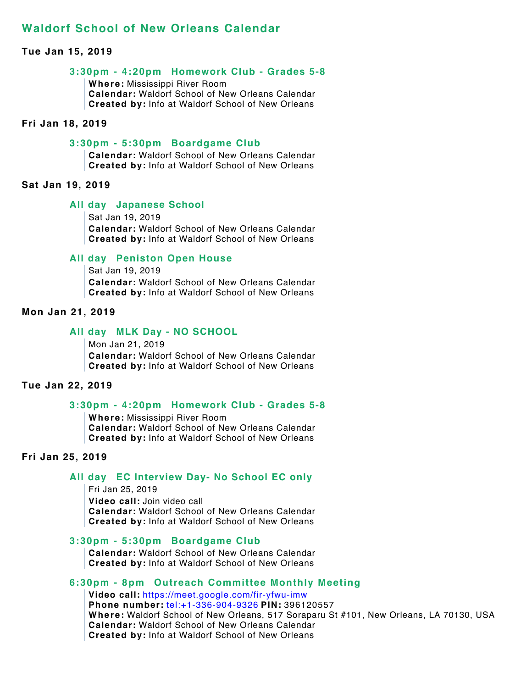#### **Tue Jan 15, 2019**

## **3:30pm - 4:20pm Homework Club - Grades 5-8**

**Where:** Mississippi River Room **Calendar:** Waldorf School of New Orleans Calendar **Created by:** Info at Waldorf School of New Orleans

#### **Fri Jan 18, 2019**

## **3:30pm - 5:30pm Boardgame Club**

**Calendar:** Waldorf School of New Orleans Calendar **Created by:** Info at Waldorf School of New Orleans

## **Sat Jan 19, 2019**

# **All day Japanese School**

Sat Jan 19, 2019

**Calendar:** Waldorf School of New Orleans Calendar **Created by:** Info at Waldorf School of New Orleans

# **All day Peniston Open House**

Sat Jan 19, 2019 **Calendar:** Waldorf School of New Orleans Calendar **Created by:** Info at Waldorf School of New Orleans

#### **Mon Jan 21, 2019**

## **All day MLK Day - NO SCHOOL**

Mon Jan 21, 2019

**Calendar:** Waldorf School of New Orleans Calendar **Created by:** Info at Waldorf School of New Orleans

#### **Tue Jan 22, 2019**

## **3:30pm - 4:20pm Homework Club - Grades 5-8**

**Where:** Mississippi River Room **Calendar:** Waldorf School of New Orleans Calendar **Created by:** Info at Waldorf School of New Orleans

# **Fri Jan 25, 2019**

## **All day EC Interview Day- No School EC only**

Fri Jan 25, 2019 **Video call:** Join video call **Calendar:** Waldorf School of New Orleans Calendar **Created by:** Info at Waldorf School of New Orleans

#### **3:30pm - 5:30pm Boardgame Club**

**Calendar:** Waldorf School of New Orleans Calendar **Created by:** Info at Waldorf School of New Orleans

# **6:30pm - 8pm Outreach Committee Monthly Meeting**

**Video call:** https://meet.google.com/fir-yfwu-imw **Phone number:** tel:+1-336-904-9326 **PIN:** 396120557 **Where:** Waldorf School of New Orleans, 517 Soraparu St #101, New Orleans, LA 70130, USA **Calendar:** Waldorf School of New Orleans Calendar **Created by:** Info at Waldorf School of New Orleans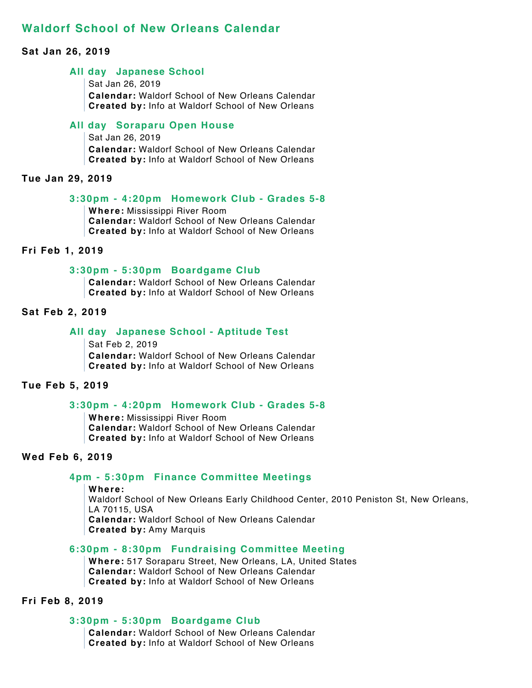### **Sat Jan 26, 2019**

## **All day Japanese School**

#### Sat Jan 26, 2019

**Calendar:** Waldorf School of New Orleans Calendar **Created by:** Info at Waldorf School of New Orleans

## **All day Soraparu Open House**

Sat Jan 26, 2019 **Calendar:** Waldorf School of New Orleans Calendar **Created by:** Info at Waldorf School of New Orleans

#### **Tue Jan 29, 2019**

#### **3:30pm - 4:20pm Homework Club - Grades 5-8**

**Where:** Mississippi River Room **Calendar:** Waldorf School of New Orleans Calendar **Created by:** Info at Waldorf School of New Orleans

#### **Fri Feb 1, 2019**

#### **3:30pm - 5:30pm Boardgame Club**

**Calendar:** Waldorf School of New Orleans Calendar **Created by:** Info at Waldorf School of New Orleans

#### **Sat Feb 2, 2019**

## **All day Japanese School - Aptitude Test**

Sat Feb 2, 2019 **Calendar:** Waldorf School of New Orleans Calendar **Created by:** Info at Waldorf School of New Orleans

#### **Tue Feb 5, 2019**

#### **3:30pm - 4:20pm Homework Club - Grades 5-8**

**Where:** Mississippi River Room **Calendar:** Waldorf School of New Orleans Calendar **Created by:** Info at Waldorf School of New Orleans

## **Wed Feb 6, 2019**

## **4pm - 5:30pm Finance Committee Meetings**

#### **Where:**

Waldorf School of New Orleans Early Childhood Center, 2010 Peniston St, New Orleans, LA 70115, USA

**Calendar:** Waldorf School of New Orleans Calendar **Created by:** Amy Marquis

# **6:30pm - 8:30pm Fundraising Committee Meeting**

**Where:** 517 Soraparu Street, New Orleans, LA, United States **Calendar:** Waldorf School of New Orleans Calendar **Created by:** Info at Waldorf School of New Orleans

#### **Fri Feb 8, 2019**

## **3:30pm - 5:30pm Boardgame Club**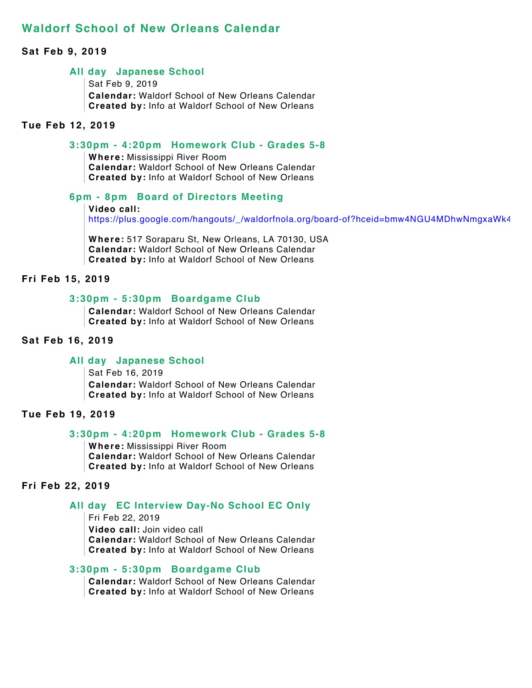### **Sat Feb 9, 2019**

## **All day Japanese School**

Sat Feb 9, 2019

**Calendar:** Waldorf School of New Orleans Calendar **Created by:** Info at Waldorf School of New Orleans

# **Tue Feb 12, 2019**

#### **3:30pm - 4:20pm Homework Club - Grades 5-8**

**Where:** Mississippi River Room **Calendar:** Waldorf School of New Orleans Calendar **Created by:** Info at Waldorf School of New Orleans

#### **6pm - 8pm Board of Directors Meeting**

#### **Video call:**

https://plus.google.com/hangouts/\_/waldorfnola.org/board-of?hceid=bmw4NGU4MDhwNmgxaWk4

**Where:** 517 Soraparu St, New Orleans, LA 70130, USA **Calendar:** Waldorf School of New Orleans Calendar **Created by:** Info at Waldorf School of New Orleans

#### **Fri Feb 15, 2019**

#### **3:30pm - 5:30pm Boardgame Club**

**Calendar:** Waldorf School of New Orleans Calendar **Created by:** Info at Waldorf School of New Orleans

## **Sat Feb 16, 2019**

#### **All day Japanese School**

Sat Feb 16, 2019 **Calendar:** Waldorf School of New Orleans Calendar **Created by:** Info at Waldorf School of New Orleans

## **Tue Feb 19, 2019**

#### **3:30pm - 4:20pm Homework Club - Grades 5-8**

**Where:** Mississippi River Room **Calendar:** Waldorf School of New Orleans Calendar **Created by:** Info at Waldorf School of New Orleans

#### **Fri Feb 22, 2019**

## **All day EC Interview Day-No School EC Only**

Fri Feb 22, 2019 **Video call:** Join video call **Calendar:** Waldorf School of New Orleans Calendar **Created by:** Info at Waldorf School of New Orleans

#### **3:30pm - 5:30pm Boardgame Club**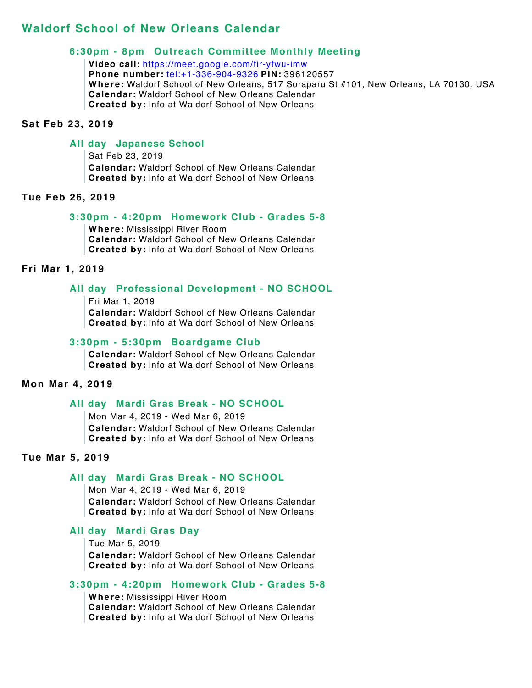## **6:30pm - 8pm Outreach Committee Monthly Meeting**

**Video call:** https://meet.google.com/fir-yfwu-imw **Phone number:** tel:+1-336-904-9326 **PIN:** 396120557 **Where:** Waldorf School of New Orleans, 517 Soraparu St #101, New Orleans, LA 70130, USA **Calendar:** Waldorf School of New Orleans Calendar **Created by:** Info at Waldorf School of New Orleans

## **Sat Feb 23, 2019**

# **All day Japanese School**

Sat Feb 23, 2019 **Calendar:** Waldorf School of New Orleans Calendar **Created by:** Info at Waldorf School of New Orleans

#### **Tue Feb 26, 2019**

#### **3:30pm - 4:20pm Homework Club - Grades 5-8**

**Where:** Mississippi River Room **Calendar:** Waldorf School of New Orleans Calendar **Created by:** Info at Waldorf School of New Orleans

### **Fri Mar 1, 2019**

#### **All day Professional Development - NO SCHOOL**

Fri Mar 1, 2019

**Calendar:** Waldorf School of New Orleans Calendar **Created by:** Info at Waldorf School of New Orleans

### **3:30pm - 5:30pm Boardgame Club**

**Calendar:** Waldorf School of New Orleans Calendar **Created by:** Info at Waldorf School of New Orleans

#### **Mon Mar 4, 2019**

# **All day Mardi Gras Break - NO SCHOOL**

Mon Mar 4, 2019 - Wed Mar 6, 2019 **Calendar:** Waldorf School of New Orleans Calendar **Created by:** Info at Waldorf School of New Orleans

# **Tue Mar 5, 2019**

## **All day Mardi Gras Break - NO SCHOOL**

Mon Mar 4, 2019 - Wed Mar 6, 2019 **Calendar:** Waldorf School of New Orleans Calendar **Created by:** Info at Waldorf School of New Orleans

# **All day Mardi Gras Day**

#### Tue Mar 5, 2019

**Calendar:** Waldorf School of New Orleans Calendar **Created by:** Info at Waldorf School of New Orleans

#### **3:30pm - 4:20pm Homework Club - Grades 5-8**

**Where:** Mississippi River Room **Calendar:** Waldorf School of New Orleans Calendar **Created by:** Info at Waldorf School of New Orleans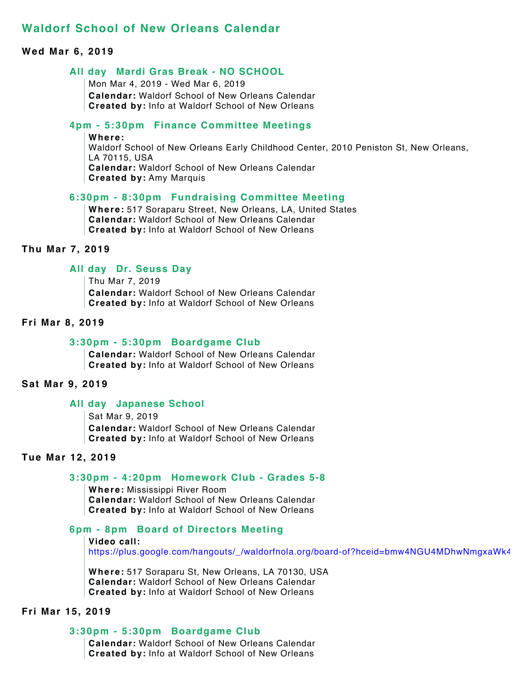#### **Wed Mar 6, 2019**

#### **All day Mardi Gras Break - NO SCHOOL**

Mon Mar 4, 2019 - Wed Mar 6, 2019 **Calendar:** Waldorf School of New Orleans Calendar **Created by:** Info at Waldorf School of New Orleans

### **4pm - 5:30pm Finance Committee Meetings**

**Where:**

Waldorf School of New Orleans Early Childhood Center, 2010 Peniston St, New Orleans, LA 70115, USA **Calendar:** Waldorf School of New Orleans Calendar **Created by:** Amy Marquis

#### **6:30pm - 8:30pm Fundraising Committee Meeting**

**Where:** 517 Soraparu Street, New Orleans, LA, United States **Calendar:** Waldorf School of New Orleans Calendar **Created by:** Info at Waldorf School of New Orleans

#### **Thu Mar 7, 2019**

### **All day Dr. Seuss Day**

Thu Mar 7, 2019 **Calendar:** Waldorf School of New Orleans Calendar **Created by:** Info at Waldorf School of New Orleans

### **Fri Mar 8, 2019**

#### **3:30pm - 5:30pm Boardgame Club**

**Calendar:** Waldorf School of New Orleans Calendar **Created by:** Info at Waldorf School of New Orleans

#### **Sat Mar 9, 2019**

# **All day Japanese School**

Sat Mar 9, 2019 **Calendar:** Waldorf School of New Orleans Calendar **Created by:** Info at Waldorf School of New Orleans

## **Tue Mar 12, 2019**

#### **3:30pm - 4:20pm Homework Club - Grades 5-8**

**Where:** Mississippi River Room **Calendar:** Waldorf School of New Orleans Calendar **Created by:** Info at Waldorf School of New Orleans

#### **6pm - 8pm Board of Directors Meeting**

#### **Video call:**

https://plus.google.com/hangouts/\_/waldorfnola.org/board-of?hceid=bmw4NGU4MDhwNmgxaWk4

**Where:** 517 Soraparu St, New Orleans, LA 70130, USA **Calendar:** Waldorf School of New Orleans Calendar **Created by:** Info at Waldorf School of New Orleans

## **Fri Mar 15, 2019**

## **3:30pm - 5:30pm Boardgame Club**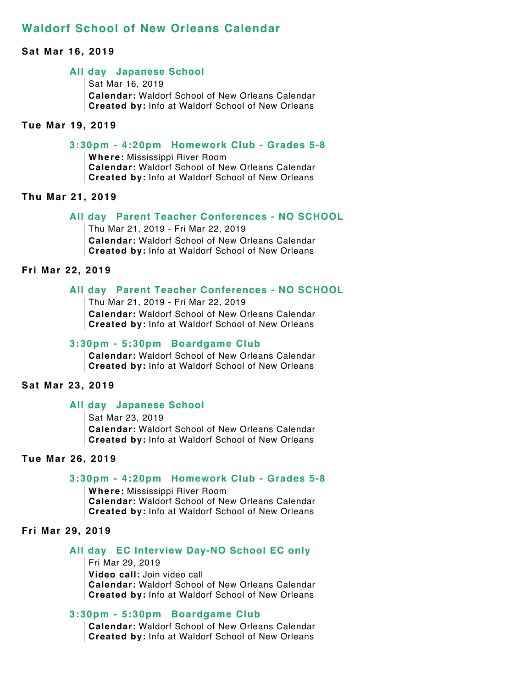#### **Sat Mar 16, 2019**

# **All day Japanese School**

#### Sat Mar 16, 2019

**Calendar:** Waldorf School of New Orleans Calendar **Created by:** Info at Waldorf School of New Orleans

# **Tue Mar 19, 2019**

#### **3:30pm - 4:20pm Homework Club - Grades 5-8**

**Where:** Mississippi River Room **Calendar:** Waldorf School of New Orleans Calendar **Created by:** Info at Waldorf School of New Orleans

## **Thu Mar 21, 2019**

#### **All day Parent Teacher Conferences - NO SCHOOL**

Thu Mar 21, 2019 - Fri Mar 22, 2019 **Calendar:** Waldorf School of New Orleans Calendar **Created by:** Info at Waldorf School of New Orleans

#### **Fri Mar 22, 2019**

#### **All day Parent Teacher Conferences - NO SCHOOL**

Thu Mar 21, 2019 - Fri Mar 22, 2019 **Calendar:** Waldorf School of New Orleans Calendar **Created by:** Info at Waldorf School of New Orleans

# **3:30pm - 5:30pm Boardgame Club**

**Calendar:** Waldorf School of New Orleans Calendar **Created by:** Info at Waldorf School of New Orleans

#### **Sat Mar 23, 2019**

#### **All day Japanese School**

Sat Mar 23, 2019 **Calendar:** Waldorf School of New Orleans Calendar **Created by:** Info at Waldorf School of New Orleans

# **Tue Mar 26, 2019**

## **3:30pm - 4:20pm Homework Club - Grades 5-8**

**Where:** Mississippi River Room **Calendar:** Waldorf School of New Orleans Calendar **Created by:** Info at Waldorf School of New Orleans

## **Fri Mar 29, 2019**

# **All day EC Interview Day-NO School EC only**

#### Fri Mar 29, 2019

**Video call:** Join video call **Calendar:** Waldorf School of New Orleans Calendar **Created by:** Info at Waldorf School of New Orleans

# **3:30pm - 5:30pm Boardgame Club**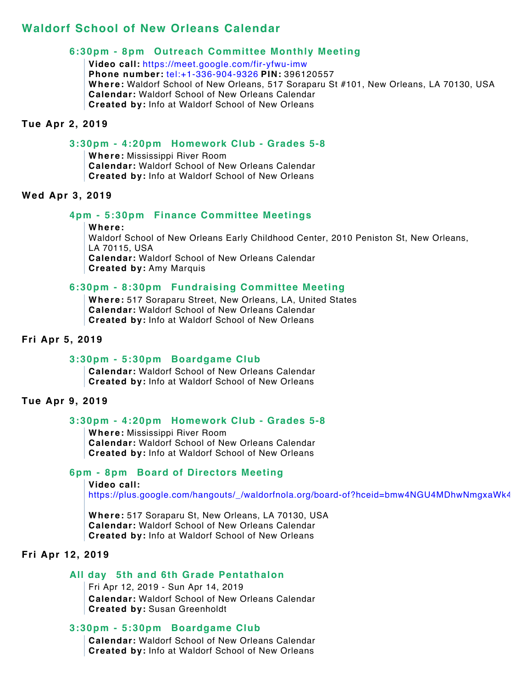## **6:30pm - 8pm Outreach Committee Monthly Meeting**

**Video call:** https://meet.google.com/fir-yfwu-imw **Phone number:** tel:+1-336-904-9326 **PIN:** 396120557 **Where:** Waldorf School of New Orleans, 517 Soraparu St #101, New Orleans, LA 70130, USA **Calendar:** Waldorf School of New Orleans Calendar **Created by:** Info at Waldorf School of New Orleans

## **Tue Apr 2, 2019**

### **3:30pm - 4:20pm Homework Club - Grades 5-8**

**Where:** Mississippi River Room **Calendar:** Waldorf School of New Orleans Calendar **Created by:** Info at Waldorf School of New Orleans

## **Wed Apr 3, 2019**

## **4pm - 5:30pm Finance Committee Meetings**

**Where:**

Waldorf School of New Orleans Early Childhood Center, 2010 Peniston St, New Orleans, LA 70115, USA **Calendar:** Waldorf School of New Orleans Calendar

**Created by:** Amy Marquis

# **6:30pm - 8:30pm Fundraising Committee Meeting**

**Where:** 517 Soraparu Street, New Orleans, LA, United States **Calendar:** Waldorf School of New Orleans Calendar **Created by:** Info at Waldorf School of New Orleans

## **Fri Apr 5, 2019**

# **3:30pm - 5:30pm Boardgame Club**

**Calendar:** Waldorf School of New Orleans Calendar **Created by:** Info at Waldorf School of New Orleans

# **Tue Apr 9, 2019**

#### **3:30pm - 4:20pm Homework Club - Grades 5-8**

**Where:** Mississippi River Room **Calendar:** Waldorf School of New Orleans Calendar **Created by:** Info at Waldorf School of New Orleans

## **6pm - 8pm Board of Directors Meeting**

#### **Video call:**

https://plus.google.com/hangouts/\_/waldorfnola.org/board-of?hceid=bmw4NGU4MDhwNmgxaWk4

**Where:** 517 Soraparu St, New Orleans, LA 70130, USA **Calendar:** Waldorf School of New Orleans Calendar **Created by:** Info at Waldorf School of New Orleans

## **Fri Apr 12, 2019**

# **All day 5th and 6th Grade Pentathalon**

Fri Apr 12, 2019 - Sun Apr 14, 2019 **Calendar:** Waldorf School of New Orleans Calendar **Created by:** Susan Greenholdt

# **3:30pm - 5:30pm Boardgame Club**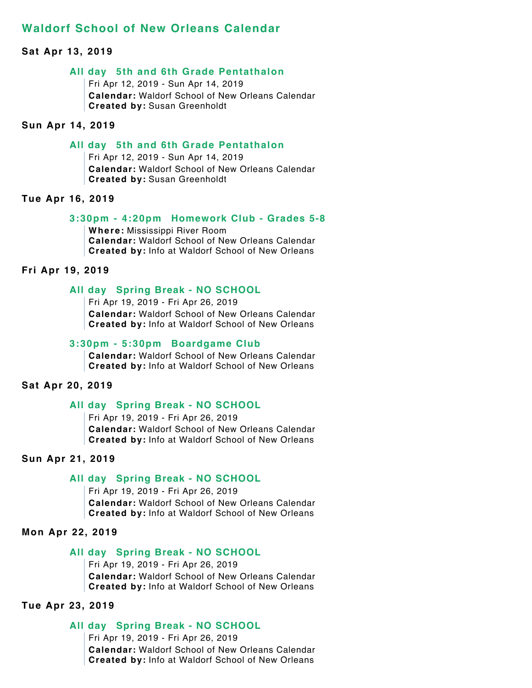#### **Sat Apr 13, 2019**

#### **All day 5th and 6th Grade Pentathalon**

Fri Apr 12, 2019 - Sun Apr 14, 2019 **Calendar:** Waldorf School of New Orleans Calendar **Created by:** Susan Greenholdt

# **Sun Apr 14, 2019**

#### **All day 5th and 6th Grade Pentathalon**

Fri Apr 12, 2019 - Sun Apr 14, 2019 **Calendar:** Waldorf School of New Orleans Calendar **Created by:** Susan Greenholdt

## **Tue Apr 16, 2019**

#### **3:30pm - 4:20pm Homework Club - Grades 5-8**

**Where:** Mississippi River Room **Calendar:** Waldorf School of New Orleans Calendar **Created by:** Info at Waldorf School of New Orleans

#### **Fri Apr 19, 2019**

## **All day Spring Break - NO SCHOOL**

Fri Apr 19, 2019 - Fri Apr 26, 2019 **Calendar:** Waldorf School of New Orleans Calendar **Created by:** Info at Waldorf School of New Orleans

### **3:30pm - 5:30pm Boardgame Club**

**Calendar:** Waldorf School of New Orleans Calendar **Created by:** Info at Waldorf School of New Orleans

#### **Sat Apr 20, 2019**

#### **All day Spring Break - NO SCHOOL**

Fri Apr 19, 2019 - Fri Apr 26, 2019 **Calendar:** Waldorf School of New Orleans Calendar **Created by:** Info at Waldorf School of New Orleans

# **Sun Apr 21, 2019**

## **All day Spring Break - NO SCHOOL**

Fri Apr 19, 2019 - Fri Apr 26, 2019 **Calendar:** Waldorf School of New Orleans Calendar **Created by:** Info at Waldorf School of New Orleans

#### **Mon Apr 22, 2019**

## **All day Spring Break - NO SCHOOL**

Fri Apr 19, 2019 - Fri Apr 26, 2019 **Calendar:** Waldorf School of New Orleans Calendar **Created by:** Info at Waldorf School of New Orleans

## **Tue Apr 23, 2019**

## **All day Spring Break - NO SCHOOL**

Fri Apr 19, 2019 - Fri Apr 26, 2019 **Calendar:** Waldorf School of New Orleans Calendar **Created by:** Info at Waldorf School of New Orleans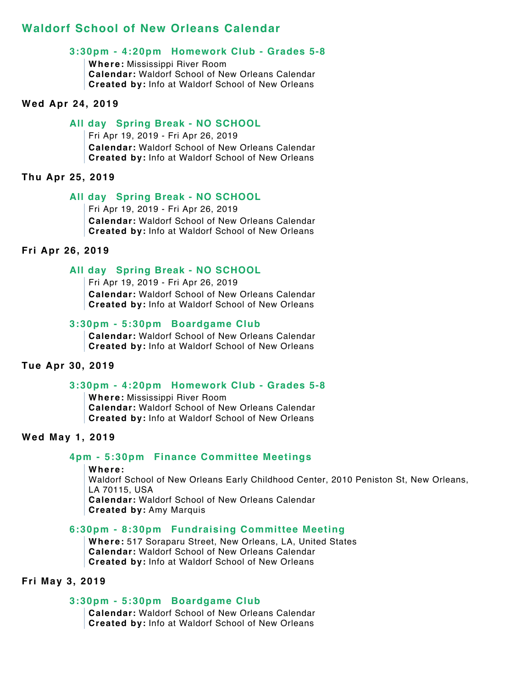# **3:30pm - 4:20pm Homework Club - Grades 5-8**

**Where:** Mississippi River Room **Calendar:** Waldorf School of New Orleans Calendar **Created by:** Info at Waldorf School of New Orleans

### **Wed Apr 24, 2019**

#### **All day Spring Break - NO SCHOOL**

Fri Apr 19, 2019 - Fri Apr 26, 2019 **Calendar:** Waldorf School of New Orleans Calendar **Created by:** Info at Waldorf School of New Orleans

#### **Thu Apr 25, 2019**

#### **All day Spring Break - NO SCHOOL**

Fri Apr 19, 2019 - Fri Apr 26, 2019 **Calendar:** Waldorf School of New Orleans Calendar **Created by:** Info at Waldorf School of New Orleans

#### **Fri Apr 26, 2019**

#### **All day Spring Break - NO SCHOOL**

Fri Apr 19, 2019 - Fri Apr 26, 2019 **Calendar:** Waldorf School of New Orleans Calendar **Created by:** Info at Waldorf School of New Orleans

#### **3:30pm - 5:30pm Boardgame Club**

**Calendar:** Waldorf School of New Orleans Calendar **Created by:** Info at Waldorf School of New Orleans

### **Tue Apr 30, 2019**

#### **3:30pm - 4:20pm Homework Club - Grades 5-8**

**Where:** Mississippi River Room **Calendar:** Waldorf School of New Orleans Calendar **Created by:** Info at Waldorf School of New Orleans

## **Wed May 1, 2019**

#### **4pm - 5:30pm Finance Committee Meetings**

#### **Where:**

Waldorf School of New Orleans Early Childhood Center, 2010 Peniston St, New Orleans, LA 70115, USA **Calendar:** Waldorf School of New Orleans Calendar **Created by:** Amy Marquis

## **6:30pm - 8:30pm Fundraising Committee Meeting**

**Where:** 517 Soraparu Street, New Orleans, LA, United States **Calendar:** Waldorf School of New Orleans Calendar **Created by:** Info at Waldorf School of New Orleans

#### **Fri May 3, 2019**

## **3:30pm - 5:30pm Boardgame Club**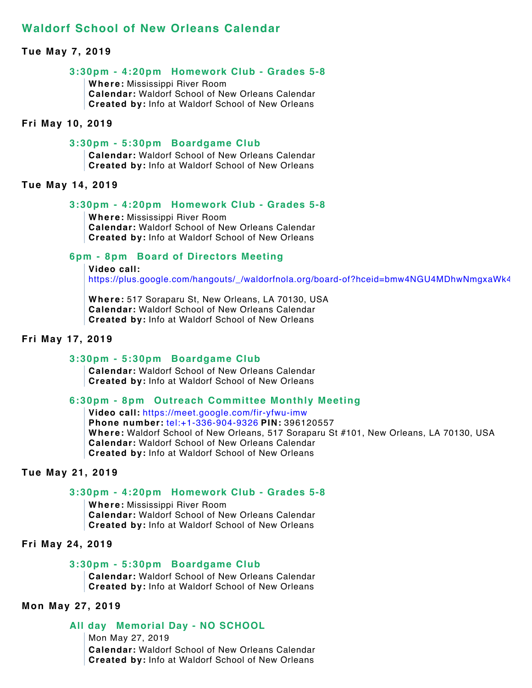## **Tue May 7, 2019**

### **3:30pm - 4:20pm Homework Club - Grades 5-8**

**Where:** Mississippi River Room **Calendar:** Waldorf School of New Orleans Calendar **Created by:** Info at Waldorf School of New Orleans

#### **Fri May 10, 2019**

# **3:30pm - 5:30pm Boardgame Club**

**Calendar:** Waldorf School of New Orleans Calendar **Created by:** Info at Waldorf School of New Orleans

#### **Tue May 14, 2019**

#### **3:30pm - 4:20pm Homework Club - Grades 5-8**

**Where:** Mississippi River Room **Calendar:** Waldorf School of New Orleans Calendar **Created by:** Info at Waldorf School of New Orleans

## **6pm - 8pm Board of Directors Meeting**

**Video call:**

https://plus.google.com/hangouts/\_/waldorfnola.org/board-of?hceid=bmw4NGU4MDhwNmgxaWk4

**Where:** 517 Soraparu St, New Orleans, LA 70130, USA **Calendar:** Waldorf School of New Orleans Calendar **Created by:** Info at Waldorf School of New Orleans

#### **Fri May 17, 2019**

## **3:30pm - 5:30pm Boardgame Club**

**Calendar:** Waldorf School of New Orleans Calendar **Created by:** Info at Waldorf School of New Orleans

# **6:30pm - 8pm Outreach Committee Monthly Meeting**

**Video call:** https://meet.google.com/fir-yfwu-imw **Phone number:** tel:+1-336-904-9326 **PIN:** 396120557 **Where:** Waldorf School of New Orleans, 517 Soraparu St #101, New Orleans, LA 70130, USA **Calendar:** Waldorf School of New Orleans Calendar **Created by:** Info at Waldorf School of New Orleans

### **Tue May 21, 2019**

## **3:30pm - 4:20pm Homework Club - Grades 5-8**

**Where:** Mississippi River Room **Calendar:** Waldorf School of New Orleans Calendar **Created by:** Info at Waldorf School of New Orleans

## **Fri May 24, 2019**

## **3:30pm - 5:30pm Boardgame Club**

**Calendar:** Waldorf School of New Orleans Calendar **Created by:** Info at Waldorf School of New Orleans

## **Mon May 27, 2019**

# **All day Memorial Day - NO SCHOOL**